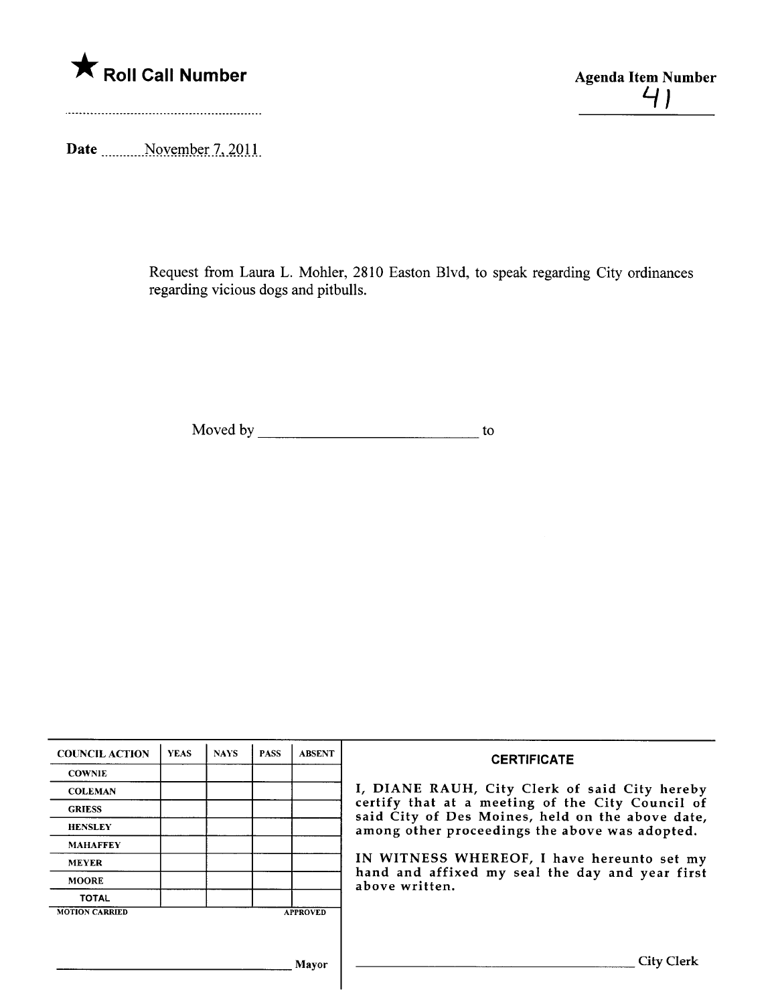

 $41$ 

Date \_\_\_\_\_\_\_\_November 7, 2011

Request from Laura L. Mohler, 2810 Easton Blvd, to speak regarding City ordinances regarding vicious dogs and pitbulls.

Moved by to

| <b>COUNCIL ACTION</b> | <b>YEAS</b> | <b>NAYS</b> | <b>PASS</b> | <b>ABSENT</b>   | <b>CERTIFICATE</b>                                                                                                                                                                                                                                                                                                         |
|-----------------------|-------------|-------------|-------------|-----------------|----------------------------------------------------------------------------------------------------------------------------------------------------------------------------------------------------------------------------------------------------------------------------------------------------------------------------|
| <b>COWNIE</b>         |             |             |             |                 | I, DIANE RAUH, City Clerk of said City hereby<br>certify that at a meeting of the City Council of<br>said City of Des Moines, held on the above date,<br>among other proceedings the above was adopted.<br>IN WITNESS WHEREOF, I have hereunto set my<br>hand and affixed my seal the day and year first<br>above written. |
| <b>COLEMAN</b>        |             |             |             |                 |                                                                                                                                                                                                                                                                                                                            |
| <b>GRIESS</b>         |             |             |             |                 |                                                                                                                                                                                                                                                                                                                            |
| <b>HENSLEY</b>        |             |             |             |                 |                                                                                                                                                                                                                                                                                                                            |
| <b>MAHAFFEY</b>       |             |             |             |                 |                                                                                                                                                                                                                                                                                                                            |
| <b>MEYER</b>          |             |             |             |                 |                                                                                                                                                                                                                                                                                                                            |
| <b>MOORE</b>          |             |             |             |                 |                                                                                                                                                                                                                                                                                                                            |
| <b>TOTAL</b>          |             |             |             |                 |                                                                                                                                                                                                                                                                                                                            |
| <b>MOTION CARRIED</b> |             |             |             | <b>APPROVED</b> |                                                                                                                                                                                                                                                                                                                            |
|                       |             |             |             |                 |                                                                                                                                                                                                                                                                                                                            |
|                       |             |             |             |                 |                                                                                                                                                                                                                                                                                                                            |
|                       |             |             |             | Mavor           | <b>City Clerk</b>                                                                                                                                                                                                                                                                                                          |